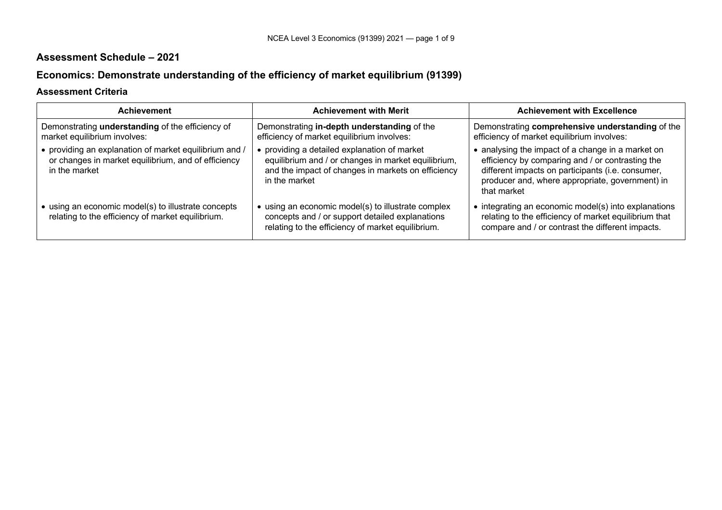## **Assessment Schedule – 2021**

# **Economics: Demonstrate understanding of the efficiency of market equilibrium (91399)**

## **Assessment Criteria**

| <b>Achievement</b>                                                                                                             | <b>Achievement with Merit</b>                                                                                                                                              | <b>Achievement with Excellence</b>                                                                                                                                                                                           |
|--------------------------------------------------------------------------------------------------------------------------------|----------------------------------------------------------------------------------------------------------------------------------------------------------------------------|------------------------------------------------------------------------------------------------------------------------------------------------------------------------------------------------------------------------------|
| Demonstrating understanding of the efficiency of<br>market equilibrium involves:                                               | Demonstrating in-depth understanding of the<br>efficiency of market equilibrium involves:                                                                                  | Demonstrating comprehensive understanding of the<br>efficiency of market equilibrium involves:                                                                                                                               |
| • providing an explanation of market equilibrium and /<br>or changes in market equilibrium, and of efficiency<br>in the market | • providing a detailed explanation of market<br>equilibrium and / or changes in market equilibrium,<br>and the impact of changes in markets on efficiency<br>in the market | • analysing the impact of a change in a market on<br>efficiency by comparing and / or contrasting the<br>different impacts on participants (i.e. consumer,<br>producer and, where appropriate, government) in<br>that market |
| • using an economic model(s) to illustrate concepts<br>relating to the efficiency of market equilibrium.                       | • using an economic model(s) to illustrate complex<br>concepts and / or support detailed explanations<br>relating to the efficiency of market equilibrium.                 | • integrating an economic model(s) into explanations<br>relating to the efficiency of market equilibrium that<br>compare and / or contrast the different impacts.                                                            |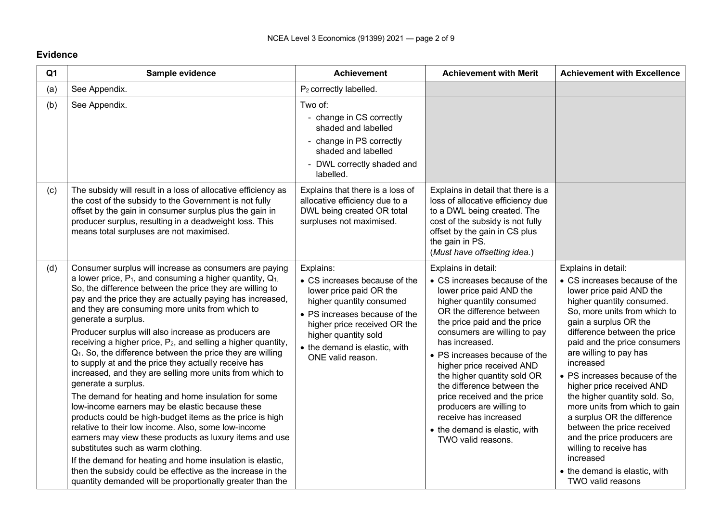## **Evidence**

| Q <sub>1</sub> | Sample evidence                                                                                                                                                                                                                                                                                                                                                                                                                                                                                                                                                                                                                                                                                                                                                                                                                                                                                                                                                                                                                                                                                                                                                                                              | <b>Achievement</b>                                                                                                                                                                                                                               | <b>Achievement with Merit</b>                                                                                                                                                                                                                                                                                                                                                                                                                                                                      | <b>Achievement with Excellence</b>                                                                                                                                                                                                                                                                                                                                                                                                                                                                                                                                                                     |
|----------------|--------------------------------------------------------------------------------------------------------------------------------------------------------------------------------------------------------------------------------------------------------------------------------------------------------------------------------------------------------------------------------------------------------------------------------------------------------------------------------------------------------------------------------------------------------------------------------------------------------------------------------------------------------------------------------------------------------------------------------------------------------------------------------------------------------------------------------------------------------------------------------------------------------------------------------------------------------------------------------------------------------------------------------------------------------------------------------------------------------------------------------------------------------------------------------------------------------------|--------------------------------------------------------------------------------------------------------------------------------------------------------------------------------------------------------------------------------------------------|----------------------------------------------------------------------------------------------------------------------------------------------------------------------------------------------------------------------------------------------------------------------------------------------------------------------------------------------------------------------------------------------------------------------------------------------------------------------------------------------------|--------------------------------------------------------------------------------------------------------------------------------------------------------------------------------------------------------------------------------------------------------------------------------------------------------------------------------------------------------------------------------------------------------------------------------------------------------------------------------------------------------------------------------------------------------------------------------------------------------|
| (a)            | See Appendix.                                                                                                                                                                                                                                                                                                                                                                                                                                                                                                                                                                                                                                                                                                                                                                                                                                                                                                                                                                                                                                                                                                                                                                                                | P <sub>2</sub> correctly labelled.                                                                                                                                                                                                               |                                                                                                                                                                                                                                                                                                                                                                                                                                                                                                    |                                                                                                                                                                                                                                                                                                                                                                                                                                                                                                                                                                                                        |
| (b)            | See Appendix.                                                                                                                                                                                                                                                                                                                                                                                                                                                                                                                                                                                                                                                                                                                                                                                                                                                                                                                                                                                                                                                                                                                                                                                                | Two of:<br>- change in CS correctly<br>shaded and labelled<br>- change in PS correctly<br>shaded and labelled<br>- DWL correctly shaded and<br>labelled.                                                                                         |                                                                                                                                                                                                                                                                                                                                                                                                                                                                                                    |                                                                                                                                                                                                                                                                                                                                                                                                                                                                                                                                                                                                        |
| (c)            | The subsidy will result in a loss of allocative efficiency as<br>the cost of the subsidy to the Government is not fully<br>offset by the gain in consumer surplus plus the gain in<br>producer surplus, resulting in a deadweight loss. This<br>means total surpluses are not maximised.                                                                                                                                                                                                                                                                                                                                                                                                                                                                                                                                                                                                                                                                                                                                                                                                                                                                                                                     | Explains that there is a loss of<br>allocative efficiency due to a<br>DWL being created OR total<br>surpluses not maximised.                                                                                                                     | Explains in detail that there is a<br>loss of allocative efficiency due<br>to a DWL being created. The<br>cost of the subsidy is not fully<br>offset by the gain in CS plus<br>the gain in PS.<br>(Must have offsetting idea.)                                                                                                                                                                                                                                                                     |                                                                                                                                                                                                                                                                                                                                                                                                                                                                                                                                                                                                        |
| (d)            | Consumer surplus will increase as consumers are paying<br>a lower price, $P_1$ , and consuming a higher quantity, $Q_1$ .<br>So, the difference between the price they are willing to<br>pay and the price they are actually paying has increased,<br>and they are consuming more units from which to<br>generate a surplus.<br>Producer surplus will also increase as producers are<br>receiving a higher price, P <sub>2</sub> , and selling a higher quantity,<br>Q <sub>1</sub> . So, the difference between the price they are willing<br>to supply at and the price they actually receive has<br>increased, and they are selling more units from which to<br>generate a surplus.<br>The demand for heating and home insulation for some<br>low-income earners may be elastic because these<br>products could be high-budget items as the price is high<br>relative to their low income. Also, some low-income<br>earners may view these products as luxury items and use<br>substitutes such as warm clothing.<br>If the demand for heating and home insulation is elastic,<br>then the subsidy could be effective as the increase in the<br>quantity demanded will be proportionally greater than the | Explains:<br>• CS increases because of the<br>lower price paid OR the<br>higher quantity consumed<br>• PS increases because of the<br>higher price received OR the<br>higher quantity sold<br>• the demand is elastic, with<br>ONE valid reason. | Explains in detail:<br>• CS increases because of the<br>lower price paid AND the<br>higher quantity consumed<br>OR the difference between<br>the price paid and the price<br>consumers are willing to pay<br>has increased.<br>• PS increases because of the<br>higher price received AND<br>the higher quantity sold OR<br>the difference between the<br>price received and the price<br>producers are willing to<br>receive has increased<br>• the demand is elastic, with<br>TWO valid reasons. | Explains in detail:<br>• CS increases because of the<br>lower price paid AND the<br>higher quantity consumed.<br>So, more units from which to<br>gain a surplus OR the<br>difference between the price<br>paid and the price consumers<br>are willing to pay has<br>increased<br>• PS increases because of the<br>higher price received AND<br>the higher quantity sold. So,<br>more units from which to gain<br>a surplus OR the difference<br>between the price received<br>and the price producers are<br>willing to receive has<br>increased<br>• the demand is elastic, with<br>TWO valid reasons |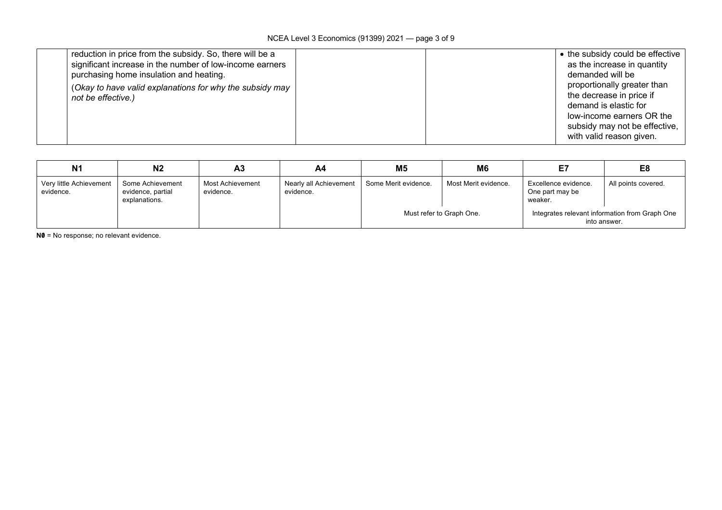| reduction in price from the subsidy. So, there will be a |  | • the subsidy could be effective |
|----------------------------------------------------------|--|----------------------------------|
| significant increase in the number of low-income earners |  | as the increase in quantity      |
| purchasing home insulation and heating.                  |  | demanded will be                 |
| (Okay to have valid explanations for why the subsidy may |  | proportionally greater than      |
| not be effective.)                                       |  | the decrease in price if         |
|                                                          |  | demand is elastic for            |
|                                                          |  | low-income earners OR the        |
|                                                          |  | subsidy may not be effective,    |
|                                                          |  | with valid reason given.         |

| N <sub>1</sub>                       | N <sub>2</sub>                                         | A <sub>3</sub>                | A4                                  | M5                   | M6                       | Ε7                                                 | E8                                             |
|--------------------------------------|--------------------------------------------------------|-------------------------------|-------------------------------------|----------------------|--------------------------|----------------------------------------------------|------------------------------------------------|
| Very little Achievement<br>evidence. | Some Achievement<br>evidence, partial<br>explanations. | Most Achievement<br>evidence. | Nearly all Achievement<br>evidence. | Some Merit evidence. | Most Merit evidence.     | Excellence evidence.<br>One part may be<br>weaker. | All points covered.                            |
|                                      |                                                        |                               |                                     |                      | Must refer to Graph One. | into answer.                                       | Integrates relevant information from Graph One |

**N0** = No response; no relevant evidence.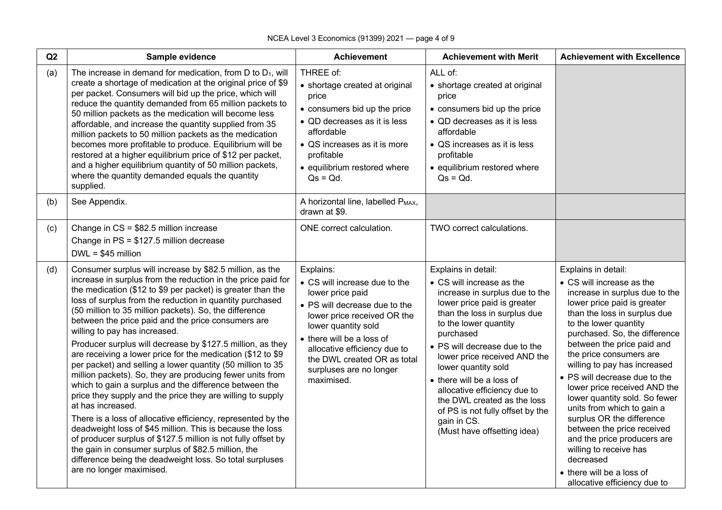| Q2  | Sample evidence                                                                                                                                                                                                                                                                                                                                                                                                                                                                                                                                                                                                                                                                                                                                                                                                                                                                                                                                                                                                                                                                                                                                        | <b>Achievement</b>                                                                                                                                                                                                                                                                         | <b>Achievement with Merit</b>                                                                                                                                                                                                                                                                                                                                                                                                                                 | <b>Achievement with Excellence</b>                                                                                                                                                                                                                                                                                                                                                                                                                                                                                                                                                                                                 |
|-----|--------------------------------------------------------------------------------------------------------------------------------------------------------------------------------------------------------------------------------------------------------------------------------------------------------------------------------------------------------------------------------------------------------------------------------------------------------------------------------------------------------------------------------------------------------------------------------------------------------------------------------------------------------------------------------------------------------------------------------------------------------------------------------------------------------------------------------------------------------------------------------------------------------------------------------------------------------------------------------------------------------------------------------------------------------------------------------------------------------------------------------------------------------|--------------------------------------------------------------------------------------------------------------------------------------------------------------------------------------------------------------------------------------------------------------------------------------------|---------------------------------------------------------------------------------------------------------------------------------------------------------------------------------------------------------------------------------------------------------------------------------------------------------------------------------------------------------------------------------------------------------------------------------------------------------------|------------------------------------------------------------------------------------------------------------------------------------------------------------------------------------------------------------------------------------------------------------------------------------------------------------------------------------------------------------------------------------------------------------------------------------------------------------------------------------------------------------------------------------------------------------------------------------------------------------------------------------|
| (a) | The increase in demand for medication, from $D$ to $D_1$ , will<br>create a shortage of medication at the original price of \$9<br>per packet. Consumers will bid up the price, which will<br>reduce the quantity demanded from 65 million packets to<br>50 million packets as the medication will become less<br>affordable, and increase the quantity supplied from 35<br>million packets to 50 million packets as the medication<br>becomes more profitable to produce. Equilibrium will be<br>restored at a higher equilibrium price of \$12 per packet,<br>and a higher equilibrium quantity of 50 million packets,<br>where the quantity demanded equals the quantity<br>supplied.                                                                                                                                                                                                                                                                                                                                                                                                                                                               | THREE of:<br>• shortage created at original<br>price<br>• consumers bid up the price<br>• QD decreases as it is less<br>affordable<br>• QS increases as it is more<br>profitable<br>· equilibrium restored where<br>$Qs = Qd$ .                                                            | ALL of:<br>• shortage created at original<br>price<br>• consumers bid up the price<br>• QD decreases as it is less<br>affordable<br>• QS increases as it is less<br>profitable<br>· equilibrium restored where<br>$Qs = Qd$ .                                                                                                                                                                                                                                 |                                                                                                                                                                                                                                                                                                                                                                                                                                                                                                                                                                                                                                    |
| (b) | See Appendix.                                                                                                                                                                                                                                                                                                                                                                                                                                                                                                                                                                                                                                                                                                                                                                                                                                                                                                                                                                                                                                                                                                                                          | A horizontal line, labelled PMAX,<br>drawn at \$9.                                                                                                                                                                                                                                         |                                                                                                                                                                                                                                                                                                                                                                                                                                                               |                                                                                                                                                                                                                                                                                                                                                                                                                                                                                                                                                                                                                                    |
| (c) | Change in CS = \$82.5 million increase<br>Change in PS = \$127.5 million decrease<br>$DWL = $45$ million                                                                                                                                                                                                                                                                                                                                                                                                                                                                                                                                                                                                                                                                                                                                                                                                                                                                                                                                                                                                                                               | ONE correct calculation.                                                                                                                                                                                                                                                                   | TWO correct calculations.                                                                                                                                                                                                                                                                                                                                                                                                                                     |                                                                                                                                                                                                                                                                                                                                                                                                                                                                                                                                                                                                                                    |
| (d) | Consumer surplus will increase by \$82.5 million, as the<br>increase in surplus from the reduction in the price paid for<br>the medication (\$12 to \$9 per packet) is greater than the<br>loss of surplus from the reduction in quantity purchased<br>(50 million to 35 million packets). So, the difference<br>between the price paid and the price consumers are<br>willing to pay has increased.<br>Producer surplus will decrease by \$127.5 million, as they<br>are receiving a lower price for the medication (\$12 to \$9<br>per packet) and selling a lower quantity (50 million to 35<br>million packets). So, they are producing fewer units from<br>which to gain a surplus and the difference between the<br>price they supply and the price they are willing to supply<br>at has increased.<br>There is a loss of allocative efficiency, represented by the<br>deadweight loss of \$45 million. This is because the loss<br>of producer surplus of \$127.5 million is not fully offset by<br>the gain in consumer surplus of \$82.5 million, the<br>difference being the deadweight loss. So total surpluses<br>are no longer maximised. | Explains:<br>• CS will increase due to the<br>lower price paid<br>• PS will decrease due to the<br>lower price received OR the<br>lower quantity sold<br>• there will be a loss of<br>allocative efficiency due to<br>the DWL created OR as total<br>surpluses are no longer<br>maximised. | Explains in detail:<br>• CS will increase as the<br>increase in surplus due to the<br>lower price paid is greater<br>than the loss in surplus due<br>to the lower quantity<br>purchased<br>• PS will decrease due to the<br>lower price received AND the<br>lower quantity sold<br>• there will be a loss of<br>allocative efficiency due to<br>the DWL created as the loss<br>of PS is not fully offset by the<br>gain in CS.<br>(Must have offsetting idea) | Explains in detail:<br>• CS will increase as the<br>increase in surplus due to the<br>lower price paid is greater<br>than the loss in surplus due<br>to the lower quantity<br>purchased. So, the difference<br>between the price paid and<br>the price consumers are<br>willing to pay has increased<br>• PS will decrease due to the<br>lower price received AND the<br>lower quantity sold. So fewer<br>units from which to gain a<br>surplus OR the difference<br>between the price received<br>and the price producers are<br>willing to receive has<br>decreased<br>• there will be a loss of<br>allocative efficiency due to |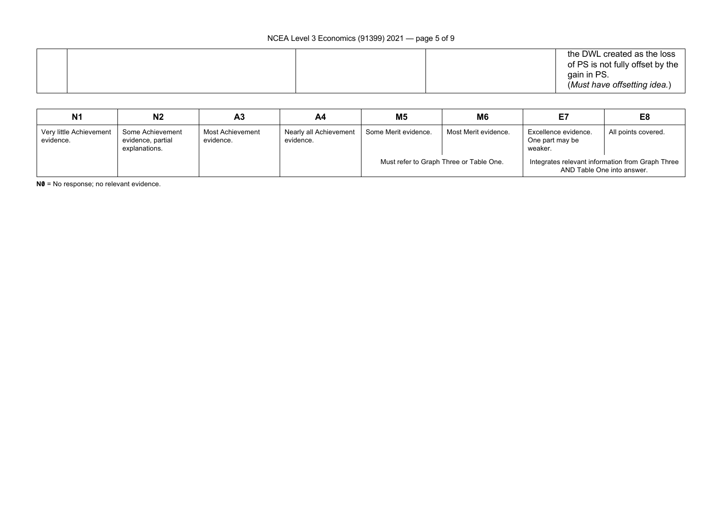| N <sub>1</sub>                       | N <sub>2</sub>                                         | Α3                            | A4                                  | M <sub>5</sub>       | M6                                      | E7                                                 | E8                                                                             |
|--------------------------------------|--------------------------------------------------------|-------------------------------|-------------------------------------|----------------------|-----------------------------------------|----------------------------------------------------|--------------------------------------------------------------------------------|
| Very little Achievement<br>evidence. | Some Achievement<br>evidence, partial<br>explanations. | Most Achievement<br>evidence. | Nearly all Achievement<br>evidence. | Some Merit evidence. | Most Merit evidence.                    | Excellence evidence.<br>One part may be<br>weaker. | All points covered.                                                            |
|                                      |                                                        |                               |                                     |                      | Must refer to Graph Three or Table One. |                                                    | Integrates relevant information from Graph Three<br>AND Table One into answer. |

**N0** = No response; no relevant evidence.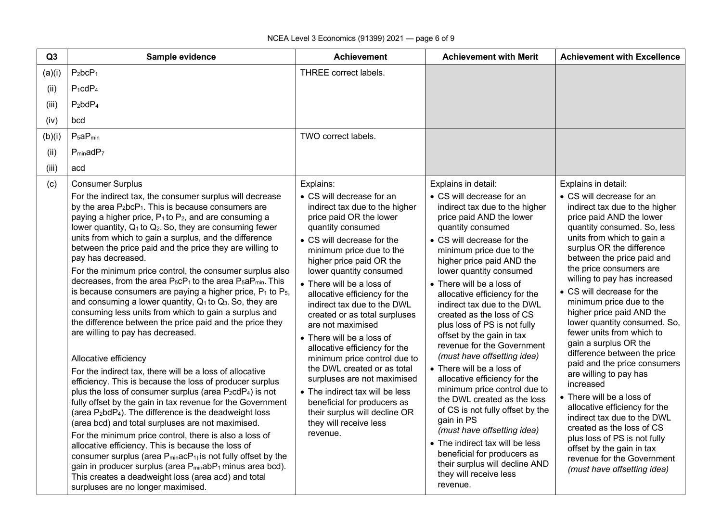| Q3     | Sample evidence                                                                                                                                                                                                                                                                                                                                                                                                                                                                                                                                                                                                                                                                                                                                                                                                                                                                                                                                                                                                                                                                                                                                                                                                                                                                                                                                                                                                                                                                                                                                                                                                                                                                                                                                                 | <b>Achievement</b>                                                                                                                                                                                                                                                                                                                                                                                                                                                                                                                                                                                                                                                                                | <b>Achievement with Merit</b>                                                                                                                                                                                                                                                                                                                                                                                                                                                                                                                                                                                                                                                                                                                                                                                                                                     | <b>Achievement with Excellence</b>                                                                                                                                                                                                                                                                                                                                                                                                                                                                                                                                                                                                                                                                                                                                                                                                        |
|--------|-----------------------------------------------------------------------------------------------------------------------------------------------------------------------------------------------------------------------------------------------------------------------------------------------------------------------------------------------------------------------------------------------------------------------------------------------------------------------------------------------------------------------------------------------------------------------------------------------------------------------------------------------------------------------------------------------------------------------------------------------------------------------------------------------------------------------------------------------------------------------------------------------------------------------------------------------------------------------------------------------------------------------------------------------------------------------------------------------------------------------------------------------------------------------------------------------------------------------------------------------------------------------------------------------------------------------------------------------------------------------------------------------------------------------------------------------------------------------------------------------------------------------------------------------------------------------------------------------------------------------------------------------------------------------------------------------------------------------------------------------------------------|---------------------------------------------------------------------------------------------------------------------------------------------------------------------------------------------------------------------------------------------------------------------------------------------------------------------------------------------------------------------------------------------------------------------------------------------------------------------------------------------------------------------------------------------------------------------------------------------------------------------------------------------------------------------------------------------------|-------------------------------------------------------------------------------------------------------------------------------------------------------------------------------------------------------------------------------------------------------------------------------------------------------------------------------------------------------------------------------------------------------------------------------------------------------------------------------------------------------------------------------------------------------------------------------------------------------------------------------------------------------------------------------------------------------------------------------------------------------------------------------------------------------------------------------------------------------------------|-------------------------------------------------------------------------------------------------------------------------------------------------------------------------------------------------------------------------------------------------------------------------------------------------------------------------------------------------------------------------------------------------------------------------------------------------------------------------------------------------------------------------------------------------------------------------------------------------------------------------------------------------------------------------------------------------------------------------------------------------------------------------------------------------------------------------------------------|
| (a)(i) | $P_2bcP_1$                                                                                                                                                                                                                                                                                                                                                                                                                                                                                                                                                                                                                                                                                                                                                                                                                                                                                                                                                                                                                                                                                                                                                                                                                                                                                                                                                                                                                                                                                                                                                                                                                                                                                                                                                      | <b>THREE</b> correct labels.                                                                                                                                                                                                                                                                                                                                                                                                                                                                                                                                                                                                                                                                      |                                                                                                                                                                                                                                                                                                                                                                                                                                                                                                                                                                                                                                                                                                                                                                                                                                                                   |                                                                                                                                                                                                                                                                                                                                                                                                                                                                                                                                                                                                                                                                                                                                                                                                                                           |
| (ii)   | $P_1cdP_4$                                                                                                                                                                                                                                                                                                                                                                                                                                                                                                                                                                                                                                                                                                                                                                                                                                                                                                                                                                                                                                                                                                                                                                                                                                                                                                                                                                                                                                                                                                                                                                                                                                                                                                                                                      |                                                                                                                                                                                                                                                                                                                                                                                                                                                                                                                                                                                                                                                                                                   |                                                                                                                                                                                                                                                                                                                                                                                                                                                                                                                                                                                                                                                                                                                                                                                                                                                                   |                                                                                                                                                                                                                                                                                                                                                                                                                                                                                                                                                                                                                                                                                                                                                                                                                                           |
| (iii)  | $P_2bdP_4$                                                                                                                                                                                                                                                                                                                                                                                                                                                                                                                                                                                                                                                                                                                                                                                                                                                                                                                                                                                                                                                                                                                                                                                                                                                                                                                                                                                                                                                                                                                                                                                                                                                                                                                                                      |                                                                                                                                                                                                                                                                                                                                                                                                                                                                                                                                                                                                                                                                                                   |                                                                                                                                                                                                                                                                                                                                                                                                                                                                                                                                                                                                                                                                                                                                                                                                                                                                   |                                                                                                                                                                                                                                                                                                                                                                                                                                                                                                                                                                                                                                                                                                                                                                                                                                           |
| (iv)   | bcd                                                                                                                                                                                                                                                                                                                                                                                                                                                                                                                                                                                                                                                                                                                                                                                                                                                                                                                                                                                                                                                                                                                                                                                                                                                                                                                                                                                                                                                                                                                                                                                                                                                                                                                                                             |                                                                                                                                                                                                                                                                                                                                                                                                                                                                                                                                                                                                                                                                                                   |                                                                                                                                                                                                                                                                                                                                                                                                                                                                                                                                                                                                                                                                                                                                                                                                                                                                   |                                                                                                                                                                                                                                                                                                                                                                                                                                                                                                                                                                                                                                                                                                                                                                                                                                           |
| (b)(i) | $P_5aP_{min}$                                                                                                                                                                                                                                                                                                                                                                                                                                                                                                                                                                                                                                                                                                                                                                                                                                                                                                                                                                                                                                                                                                                                                                                                                                                                                                                                                                                                                                                                                                                                                                                                                                                                                                                                                   | TWO correct labels.                                                                                                                                                                                                                                                                                                                                                                                                                                                                                                                                                                                                                                                                               |                                                                                                                                                                                                                                                                                                                                                                                                                                                                                                                                                                                                                                                                                                                                                                                                                                                                   |                                                                                                                                                                                                                                                                                                                                                                                                                                                                                                                                                                                                                                                                                                                                                                                                                                           |
| (ii)   | $P_{min}adP7$                                                                                                                                                                                                                                                                                                                                                                                                                                                                                                                                                                                                                                                                                                                                                                                                                                                                                                                                                                                                                                                                                                                                                                                                                                                                                                                                                                                                                                                                                                                                                                                                                                                                                                                                                   |                                                                                                                                                                                                                                                                                                                                                                                                                                                                                                                                                                                                                                                                                                   |                                                                                                                                                                                                                                                                                                                                                                                                                                                                                                                                                                                                                                                                                                                                                                                                                                                                   |                                                                                                                                                                                                                                                                                                                                                                                                                                                                                                                                                                                                                                                                                                                                                                                                                                           |
| (iii)  | acd                                                                                                                                                                                                                                                                                                                                                                                                                                                                                                                                                                                                                                                                                                                                                                                                                                                                                                                                                                                                                                                                                                                                                                                                                                                                                                                                                                                                                                                                                                                                                                                                                                                                                                                                                             |                                                                                                                                                                                                                                                                                                                                                                                                                                                                                                                                                                                                                                                                                                   |                                                                                                                                                                                                                                                                                                                                                                                                                                                                                                                                                                                                                                                                                                                                                                                                                                                                   |                                                                                                                                                                                                                                                                                                                                                                                                                                                                                                                                                                                                                                                                                                                                                                                                                                           |
| (c)    | <b>Consumer Surplus</b><br>For the indirect tax, the consumer surplus will decrease<br>by the area $P_2bcP_1$ . This is because consumers are<br>paying a higher price, $P_1$ to $P_2$ , and are consuming a<br>lower quantity, Q <sub>1</sub> to Q <sub>2</sub> . So, they are consuming fewer<br>units from which to gain a surplus, and the difference<br>between the price paid and the price they are willing to<br>pay has decreased.<br>For the minimum price control, the consumer surplus also<br>decreases, from the area P <sub>5</sub> cP <sub>1</sub> to the area P <sub>5</sub> aP <sub>min</sub> . This<br>is because consumers are paying a higher price, $P_1$ to $P_5$ ,<br>and consuming a lower quantity, Q <sub>1</sub> to Q <sub>3</sub> . So, they are<br>consuming less units from which to gain a surplus and<br>the difference between the price paid and the price they<br>are willing to pay has decreased.<br>Allocative efficiency<br>For the indirect tax, there will be a loss of allocative<br>efficiency. This is because the loss of producer surplus<br>plus the loss of consumer surplus (area P <sub>2</sub> cdP <sub>4</sub> ) is not<br>fully offset by the gain in tax revenue for the Government<br>(area P <sub>2</sub> bdP <sub>4</sub> ). The difference is the deadweight loss<br>(area bcd) and total surpluses are not maximised.<br>For the minimum price control, there is also a loss of<br>allocative efficiency. This is because the loss of<br>consumer surplus (area $P_{min}$ ac $P_{1}$ ) is not fully offset by the<br>gain in producer surplus (area P <sub>min</sub> abP <sub>1</sub> minus area bcd).<br>This creates a deadweight loss (area acd) and total<br>surpluses are no longer maximised. | Explains:<br>• CS will decrease for an<br>indirect tax due to the higher<br>price paid OR the lower<br>quantity consumed<br>• CS will decrease for the<br>minimum price due to the<br>higher price paid OR the<br>lower quantity consumed<br>• There will be a loss of<br>allocative efficiency for the<br>indirect tax due to the DWL<br>created or as total surpluses<br>are not maximised<br>• There will be a loss of<br>allocative efficiency for the<br>minimum price control due to<br>the DWL created or as total<br>surpluses are not maximised<br>• The indirect tax will be less<br>beneficial for producers as<br>their surplus will decline OR<br>they will receive less<br>revenue. | Explains in detail:<br>• CS will decrease for an<br>indirect tax due to the higher<br>price paid AND the lower<br>quantity consumed<br>• CS will decrease for the<br>minimum price due to the<br>higher price paid AND the<br>lower quantity consumed<br>• There will be a loss of<br>allocative efficiency for the<br>indirect tax due to the DWL<br>created as the loss of CS<br>plus loss of PS is not fully<br>offset by the gain in tax<br>revenue for the Government<br>(must have offsetting idea)<br>• There will be a loss of<br>allocative efficiency for the<br>minimum price control due to<br>the DWL created as the loss<br>of CS is not fully offset by the<br>gain in PS<br>(must have offsetting idea)<br>• The indirect tax will be less<br>beneficial for producers as<br>their surplus will decline AND<br>they will receive less<br>revenue. | Explains in detail:<br>• CS will decrease for an<br>indirect tax due to the higher<br>price paid AND the lower<br>quantity consumed. So, less<br>units from which to gain a<br>surplus OR the difference<br>between the price paid and<br>the price consumers are<br>willing to pay has increased<br>• CS will decrease for the<br>minimum price due to the<br>higher price paid AND the<br>lower quantity consumed. So,<br>fewer units from which to<br>gain a surplus OR the<br>difference between the price<br>paid and the price consumers<br>are willing to pay has<br>increased<br>• There will be a loss of<br>allocative efficiency for the<br>indirect tax due to the DWL<br>created as the loss of CS<br>plus loss of PS is not fully<br>offset by the gain in tax<br>revenue for the Government<br>(must have offsetting idea) |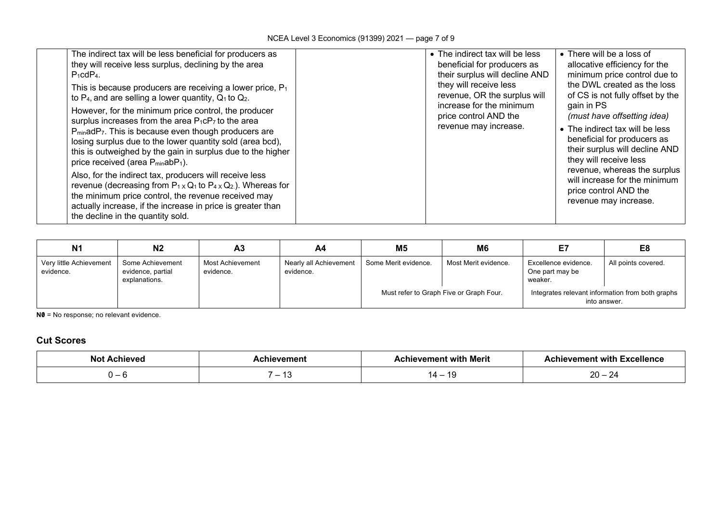| The indirect tax will be less beneficial for producers as<br>they will receive less surplus, declining by the area<br>$P_1cdP_4$ .<br>This is because producers are receiving a lower price, $P_1$<br>to $P_4$ , and are selling a lower quantity, $Q_1$ to $Q_2$ .<br>However, for the minimum price control, the producer<br>surplus increases from the area P <sub>1</sub> cP <sub>7</sub> to the area<br>P <sub>min</sub> adP <sub>7</sub> . This is because even though producers are<br>losing surplus due to the lower quantity sold (area bcd),<br>this is outweighed by the gain in surplus due to the higher<br>price received (area P <sub>min</sub> abP <sub>1</sub> ).<br>Also, for the indirect tax, producers will receive less<br>revenue (decreasing from $P_{1} \times Q_1$ to $P_{4} \times Q_2$ ). Whereas for<br>the minimum price control, the revenue received may<br>actually increase, if the increase in price is greater than<br>the decline in the quantity sold. | • The indirect tax will be less<br>beneficial for producers as<br>their surplus will decline AND<br>they will receive less<br>revenue, OR the surplus will<br>increase for the minimum<br>price control AND the<br>revenue may increase. | • There will be a loss of<br>allocative efficiency for the<br>minimum price control due to<br>the DWL created as the loss<br>of CS is not fully offset by the<br>gain in PS<br>(must have offsetting idea)<br>• The indirect tax will be less<br>beneficial for producers as<br>their surplus will decline AND<br>they will receive less<br>revenue, whereas the surplus<br>will increase for the minimum<br>price control AND the<br>revenue may increase. |
|-----------------------------------------------------------------------------------------------------------------------------------------------------------------------------------------------------------------------------------------------------------------------------------------------------------------------------------------------------------------------------------------------------------------------------------------------------------------------------------------------------------------------------------------------------------------------------------------------------------------------------------------------------------------------------------------------------------------------------------------------------------------------------------------------------------------------------------------------------------------------------------------------------------------------------------------------------------------------------------------------|------------------------------------------------------------------------------------------------------------------------------------------------------------------------------------------------------------------------------------------|-------------------------------------------------------------------------------------------------------------------------------------------------------------------------------------------------------------------------------------------------------------------------------------------------------------------------------------------------------------------------------------------------------------------------------------------------------------|
|-----------------------------------------------------------------------------------------------------------------------------------------------------------------------------------------------------------------------------------------------------------------------------------------------------------------------------------------------------------------------------------------------------------------------------------------------------------------------------------------------------------------------------------------------------------------------------------------------------------------------------------------------------------------------------------------------------------------------------------------------------------------------------------------------------------------------------------------------------------------------------------------------------------------------------------------------------------------------------------------------|------------------------------------------------------------------------------------------------------------------------------------------------------------------------------------------------------------------------------------------|-------------------------------------------------------------------------------------------------------------------------------------------------------------------------------------------------------------------------------------------------------------------------------------------------------------------------------------------------------------------------------------------------------------------------------------------------------------|

| <b>N1</b>                            | N <sub>2</sub>                                         | A3                            | A4                                  | M <sub>5</sub>       | M <sub>6</sub>                          |                                                    | E <sub>8</sub>                                                   |
|--------------------------------------|--------------------------------------------------------|-------------------------------|-------------------------------------|----------------------|-----------------------------------------|----------------------------------------------------|------------------------------------------------------------------|
| Very little Achievement<br>evidence. | Some Achievement<br>evidence, partial<br>explanations. | Most Achievement<br>evidence. | Nearly all Achievement<br>evidence. | Some Merit evidence. | Most Merit evidence.                    | Excellence evidence.<br>One part may be<br>weaker. | All points covered.                                              |
|                                      |                                                        |                               |                                     |                      | Must refer to Graph Five or Graph Four. |                                                    | Integrates relevant information from both graphs<br>into answer. |

**N0** = No response; no relevant evidence.

#### **Cut Scores**

| Not<br>\chieved | hievement                       | evement with Merit | <b>∖ Excellence</b><br><b>Achievement with</b> |  |
|-----------------|---------------------------------|--------------------|------------------------------------------------|--|
| ີ               | $\overline{\phantom{a}}$<br>. . | -11<br>. .<br>. .  | nn<br>$\sim$<br>∠∪<br>$\overline{\phantom{0}}$ |  |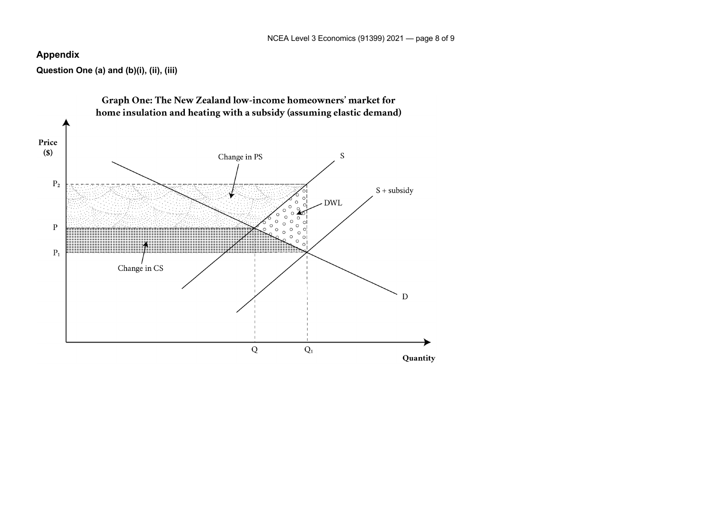### **Appendix**

**Question One (a) and (b)(i), (ii), (iii)**